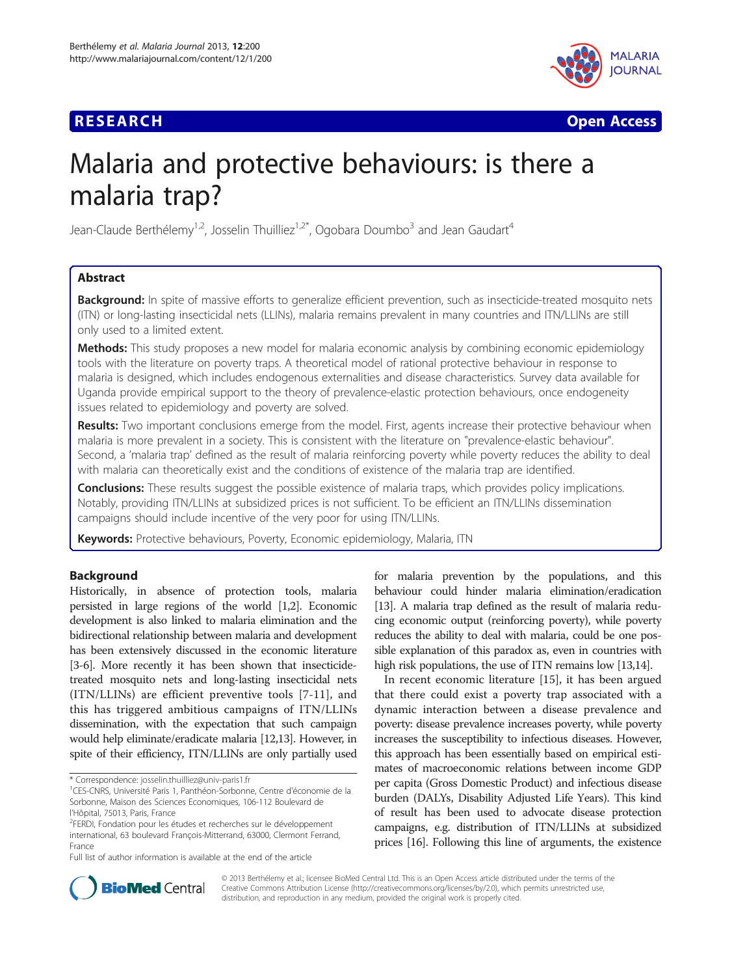## **RESEARCH CHEAR CHEAR CHEAR CHEAR CHEAR CHEAR CHEAR CHEAR CHEAR CHEAR CHEAR CHEAR CHEAR CHEAR CHEAR CHEAR CHEAR**



# Malaria and protective behaviours: is there a malaria trap?

Jean-Claude Berthélemy<sup>1,2</sup>, Josselin Thuilliez<sup>1,2\*</sup>, Ogobara Doumbo<sup>3</sup> and Jean Gaudart<sup>4</sup>

## Abstract

Background: In spite of massive efforts to generalize efficient prevention, such as insecticide-treated mosquito nets (ITN) or long-lasting insecticidal nets (LLINs), malaria remains prevalent in many countries and ITN/LLINs are still only used to a limited extent.

**Methods:** This study proposes a new model for malaria economic analysis by combining economic epidemiology tools with the literature on poverty traps. A theoretical model of rational protective behaviour in response to malaria is designed, which includes endogenous externalities and disease characteristics. Survey data available for Uganda provide empirical support to the theory of prevalence-elastic protection behaviours, once endogeneity issues related to epidemiology and poverty are solved.

Results: Two important conclusions emerge from the model. First, agents increase their protective behaviour when malaria is more prevalent in a society. This is consistent with the literature on "prevalence-elastic behaviour". Second, a 'malaria trap' defined as the result of malaria reinforcing poverty while poverty reduces the ability to deal with malaria can theoretically exist and the conditions of existence of the malaria trap are identified.

**Conclusions:** These results suggest the possible existence of malaria traps, which provides policy implications. Notably, providing ITN/LLINs at subsidized prices is not sufficient. To be efficient an ITN/LLINs dissemination campaigns should include incentive of the very poor for using ITN/LLINs.

Keywords: Protective behaviours, Poverty, Economic epidemiology, Malaria, ITN

## Background

Historically, in absence of protection tools, malaria persisted in large regions of the world [\[1,2\]](#page-8-0). Economic development is also linked to malaria elimination and the bidirectional relationship between malaria and development has been extensively discussed in the economic literature [[3](#page-8-0)-[6\]](#page-8-0). More recently it has been shown that insecticidetreated mosquito nets and long-lasting insecticidal nets (ITN/LLINs) are efficient preventive tools [[7-11](#page-8-0)], and this has triggered ambitious campaigns of ITN/LLINs dissemination, with the expectation that such campaign would help eliminate/eradicate malaria [\[12,13\]](#page-8-0). However, in spite of their efficiency, ITN/LLINs are only partially used

for malaria prevention by the populations, and this behaviour could hinder malaria elimination/eradication [[13](#page-8-0)]. A malaria trap defined as the result of malaria reducing economic output (reinforcing poverty), while poverty reduces the ability to deal with malaria, could be one possible explanation of this paradox as, even in countries with high risk populations, the use of ITN remains low [\[13,14](#page-8-0)].

In recent economic literature [\[15\]](#page-8-0), it has been argued that there could exist a poverty trap associated with a dynamic interaction between a disease prevalence and poverty: disease prevalence increases poverty, while poverty increases the susceptibility to infectious diseases. However, this approach has been essentially based on empirical estimates of macroeconomic relations between income GDP per capita (Gross Domestic Product) and infectious disease burden (DALYs, Disability Adjusted Life Years). This kind of result has been used to advocate disease protection campaigns, e.g. distribution of ITN/LLINs at subsidized prices [\[16\]](#page-8-0). Following this line of arguments, the existence



© 2013 Berthélemy et al.; licensee BioMed Central Ltd. This is an Open Access article distributed under the terms of the Creative Commons Attribution License (<http://creativecommons.org/licenses/by/2.0>), which permits unrestricted use, distribution, and reproduction in any medium, provided the original work is properly cited.

<sup>\*</sup> Correspondence: [josselin.thuilliez@univ-paris1.fr](mailto:josselin.thuilliez@univ-paris1.fr) <sup>1</sup>

<sup>&</sup>lt;sup>1</sup>CES-CNRS, Université Paris 1, Panthéon-Sorbonne, Centre d'économie de la Sorbonne, Maison des Sciences Economiques, 106-112 Boulevard de l'Hôpital, 75013, Paris, France

<sup>&</sup>lt;sup>2</sup>FERDI, Fondation pour les études et recherches sur le développement international, 63 boulevard François-Mitterrand, 63000, Clermont Ferrand, France

Full list of author information is available at the end of the article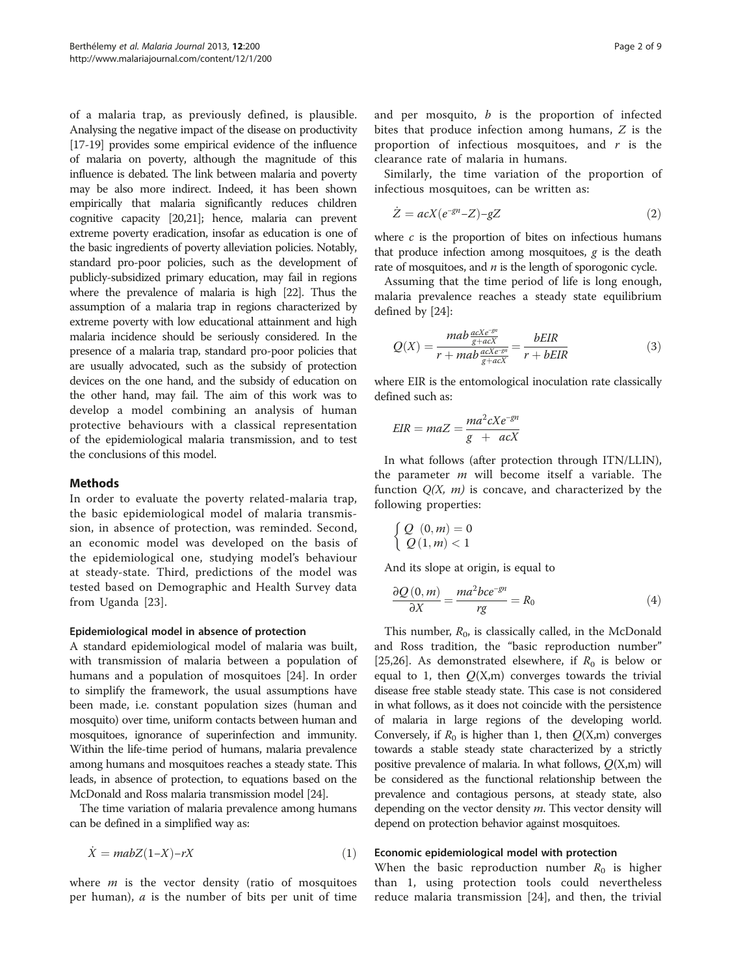<span id="page-1-0"></span>of a malaria trap, as previously defined, is plausible. Analysing the negative impact of the disease on productivity [[17-19\]](#page-8-0) provides some empirical evidence of the influence of malaria on poverty, although the magnitude of this influence is debated. The link between malaria and poverty may be also more indirect. Indeed, it has been shown empirically that malaria significantly reduces children cognitive capacity [\[20,21\]](#page-8-0); hence, malaria can prevent extreme poverty eradication, insofar as education is one of the basic ingredients of poverty alleviation policies. Notably, standard pro-poor policies, such as the development of publicly-subsidized primary education, may fail in regions where the prevalence of malaria is high [\[22\]](#page-8-0). Thus the assumption of a malaria trap in regions characterized by extreme poverty with low educational attainment and high malaria incidence should be seriously considered. In the presence of a malaria trap, standard pro-poor policies that are usually advocated, such as the subsidy of protection devices on the one hand, and the subsidy of education on the other hand, may fail. The aim of this work was to develop a model combining an analysis of human protective behaviours with a classical representation of the epidemiological malaria transmission, and to test the conclusions of this model.

## **Methods**

In order to evaluate the poverty related-malaria trap, the basic epidemiological model of malaria transmission, in absence of protection, was reminded. Second, an economic model was developed on the basis of the epidemiological one, studying model's behaviour at steady-state. Third, predictions of the model was tested based on Demographic and Health Survey data from Uganda [\[23\]](#page-8-0).

#### Epidemiological model in absence of protection

A standard epidemiological model of malaria was built, with transmission of malaria between a population of humans and a population of mosquitoes [\[24\]](#page-8-0). In order to simplify the framework, the usual assumptions have been made, i.e. constant population sizes (human and mosquito) over time, uniform contacts between human and mosquitoes, ignorance of superinfection and immunity. Within the life-time period of humans, malaria prevalence among humans and mosquitoes reaches a steady state. This leads, in absence of protection, to equations based on the McDonald and Ross malaria transmission model [[24](#page-8-0)].

The time variation of malaria prevalence among humans can be defined in a simplified way as:

$$
\dot{X} = mabZ(1-X) - rX\tag{1}
$$

where  $m$  is the vector density (ratio of mosquitoes per human),  $a$  is the number of bits per unit of time and per mosquito,  $b$  is the proportion of infected bites that produce infection among humans, Z is the proportion of infectious mosquitoes, and  $r$  is the clearance rate of malaria in humans.

Similarly, the time variation of the proportion of infectious mosquitoes, can be written as:

$$
\dot{Z} = acX(e^{-gn} - Z) - gZ\tag{2}
$$

where  $c$  is the proportion of bites on infectious humans that produce infection among mosquitoes,  $g$  is the death rate of mosquitoes, and  $n$  is the length of sporogonic cycle.

Assuming that the time period of life is long enough, malaria prevalence reaches a steady state equilibrium defined by [\[24](#page-8-0)]:

$$
Q(X) = \frac{mab \frac{acXe^{-gn}}{g + acX}}{r + mab \frac{acXe^{-gn}}{g + acX}} = \frac{bEIR}{r + bEIR}
$$
(3)

where EIR is the entomological inoculation rate classically defined such as:

$$
EIR = maZ = \frac{ma^2cXe^{-gn}}{g + acX}
$$

In what follows (after protection through ITN/LLIN), the parameter  $m$  will become itself a variable. The function  $Q(X, m)$  is concave, and characterized by the following properties:

$$
\left\{\begin{array}{l}\nQ\ (0,m)=0\\ \nQ\ (1,m)<1\n\end{array}\right.
$$

And its slope at origin, is equal to

$$
\frac{\partial Q\left(0,m\right)}{\partial X} = \frac{ma^2bce^{-gn}}{rg} = R_0 \tag{4}
$$

This number,  $R_0$ , is classically called, in the McDonald and Ross tradition, the "basic reproduction number" [[25,26\]](#page-8-0). As demonstrated elsewhere, if  $R_0$  is below or equal to 1, then  $Q(X,m)$  converges towards the trivial disease free stable steady state. This case is not considered in what follows, as it does not coincide with the persistence of malaria in large regions of the developing world. Conversely, if  $R_0$  is higher than 1, then  $Q(X,m)$  converges towards a stable steady state characterized by a strictly positive prevalence of malaria. In what follows,  $Q(X,m)$  will be considered as the functional relationship between the prevalence and contagious persons, at steady state, also depending on the vector density  $m$ . This vector density will depend on protection behavior against mosquitoes.

#### Economic epidemiological model with protection

When the basic reproduction number  $R_0$  is higher than 1, using protection tools could nevertheless reduce malaria transmission [[24\]](#page-8-0), and then, the trivial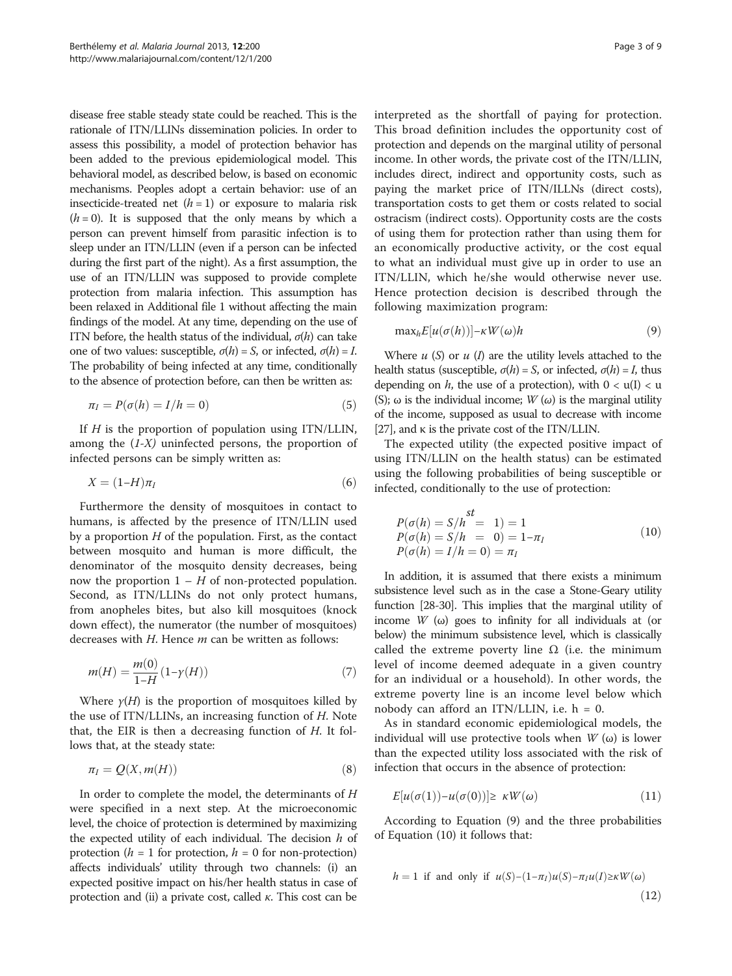<span id="page-2-0"></span>disease free stable steady state could be reached. This is the rationale of ITN/LLINs dissemination policies. In order to assess this possibility, a model of protection behavior has been added to the previous epidemiological model. This behavioral model, as described below, is based on economic mechanisms. Peoples adopt a certain behavior: use of an insecticide-treated net  $(h = 1)$  or exposure to malaria risk  $(h = 0)$ . It is supposed that the only means by which a person can prevent himself from parasitic infection is to sleep under an ITN/LLIN (even if a person can be infected during the first part of the night). As a first assumption, the use of an ITN/LLIN was supposed to provide complete protection from malaria infection. This assumption has been relaxed in Additional file [1](#page-7-0) without affecting the main findings of the model. At any time, depending on the use of ITN before, the health status of the individual,  $\sigma(h)$  can take one of two values: susceptible,  $\sigma(h) = S$ , or infected,  $\sigma(h) = I$ . The probability of being infected at any time, conditionally to the absence of protection before, can then be written as:

$$
\pi_I = P(\sigma(h) = I/h = 0)
$$
\n(5)

If  $H$  is the proportion of population using ITN/LLIN, among the  $(1-X)$  uninfected persons, the proportion of infected persons can be simply written as:

$$
X = (1 - H)\pi_I \tag{6}
$$

Furthermore the density of mosquitoes in contact to humans, is affected by the presence of ITN/LLIN used by a proportion  $H$  of the population. First, as the contact between mosquito and human is more difficult, the denominator of the mosquito density decreases, being now the proportion  $1 - H$  of non-protected population. Second, as ITN/LLINs do not only protect humans, from anopheles bites, but also kill mosquitoes (knock down effect), the numerator (the number of mosquitoes) decreases with  $H$ . Hence  $m$  can be written as follows:

$$
m(H) = \frac{m(0)}{1 - H} (1 - \gamma(H))
$$
\n(7)

Where  $\gamma(H)$  is the proportion of mosquitoes killed by the use of ITN/LLINs, an increasing function of H. Note that, the EIR is then a decreasing function of  $H$ . It follows that, at the steady state:

$$
\pi_I = Q(X, m(H)) \tag{8}
$$

In order to complete the model, the determinants of  ${\cal H}$ were specified in a next step. At the microeconomic level, the choice of protection is determined by maximizing the expected utility of each individual. The decision  $h$  of protection ( $h = 1$  for protection,  $h = 0$  for non-protection) affects individuals' utility through two channels: (i) an expected positive impact on his/her health status in case of protection and (ii) a private cost, called  $\kappa$ . This cost can be interpreted as the shortfall of paying for protection. This broad definition includes the opportunity cost of protection and depends on the marginal utility of personal income. In other words, the private cost of the ITN/LLIN, includes direct, indirect and opportunity costs, such as paying the market price of ITN/ILLNs (direct costs), transportation costs to get them or costs related to social ostracism (indirect costs). Opportunity costs are the costs of using them for protection rather than using them for an economically productive activity, or the cost equal to what an individual must give up in order to use an ITN/LLIN, which he/she would otherwise never use. Hence protection decision is described through the following maximization program:

$$
\max_{h} E[u(\sigma(h))] - \kappa W(\omega)h \tag{9}
$$

Where  $u$  (S) or  $u$  (I) are the utility levels attached to the health status (susceptible,  $\sigma(h) = S$ , or infected,  $\sigma(h) = I$ , thus depending on  $h$ , the use of a protection), with  $0 < u(I) < u$ (S);  $\omega$  is the individual income;  $W(\omega)$  is the marginal utility of the income, supposed as usual to decrease with income [[27](#page-8-0)], and κ is the private cost of the ITN/LLIN.

The expected utility (the expected positive impact of using ITN/LLIN on the health status) can be estimated using the following probabilities of being susceptible or infected, conditionally to the use of protection:

$$
P(\sigma(h) = S/h^{st} = 1) = 1
$$
  
\n
$$
P(\sigma(h) = S/h = 0) = 1-\pi_I
$$
  
\n
$$
P(\sigma(h) = I/h = 0) = \pi_I
$$
\n(10)

In addition, it is assumed that there exists a minimum subsistence level such as in the case a Stone-Geary utility function [[28-30\]](#page-8-0). This implies that the marginal utility of income  $W(\omega)$  goes to infinity for all individuals at (or below) the minimum subsistence level, which is classically called the extreme poverty line  $\Omega$  (i.e. the minimum level of income deemed adequate in a given country for an individual or a household). In other words, the extreme poverty line is an income level below which nobody can afford an ITN/LLIN, i.e.  $h = 0$ .

As in standard economic epidemiological models, the individual will use protective tools when  $W(\omega)$  is lower than the expected utility loss associated with the risk of infection that occurs in the absence of protection:

$$
E[u(\sigma(1)) - u(\sigma(0))] \geq \kappa W(\omega) \tag{11}
$$

According to Equation (9) and the three probabilities of Equation (10) it follows that:

$$
h = 1 \text{ if and only if } u(S) - (1 - \pi_I)u(S) - \pi_I u(I) \geq \kappa W(\omega) \tag{12}
$$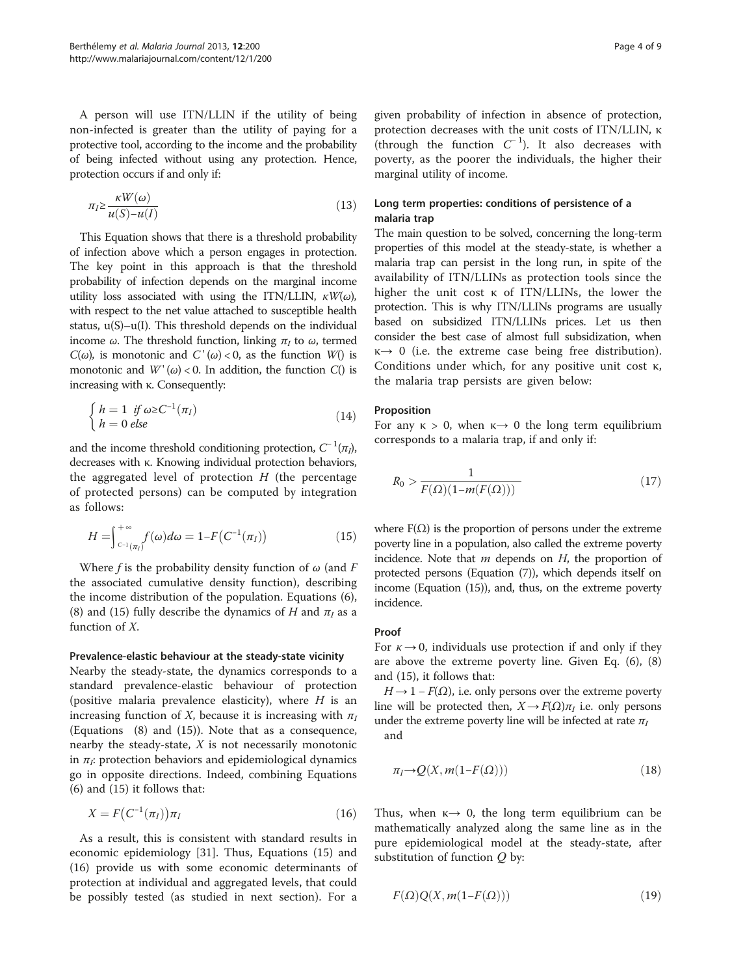A person will use ITN/LLIN if the utility of being non-infected is greater than the utility of paying for a protective tool, according to the income and the probability of being infected without using any protection. Hence, protection occurs if and only if:

$$
\pi_I \ge \frac{\kappa W(\omega)}{u(S) - u(I)}\tag{13}
$$

This Equation shows that there is a threshold probability of infection above which a person engages in protection. The key point in this approach is that the threshold probability of infection depends on the marginal income utility loss associated with using the ITN/LLIN,  $\kappa W(\omega)$ , with respect to the net value attached to susceptible health status,  $u(S)-u(I)$ . This threshold depends on the individual income  $ω$ . The threshold function, linking  $\pi_l$  to  $ω$ , termed  $C(\omega)$ , is monotonic and  $C'(\omega) < 0$ , as the function  $W()$  is monotonic and  $W'(\omega) < 0$ . In addition, the function C() is increasing with κ. Consequently:

$$
\begin{cases}\nh = 1 & \text{if } \omega \ge C^{-1}(\pi_I) \\
h = 0 & \text{else}\n\end{cases} \tag{14}
$$

and the income threshold conditioning protection,  $C^{-1}(\pi_I)$ , decreases with κ. Knowing individual protection behaviors, the aggregated level of protection  $H$  (the percentage of protected persons) can be computed by integration as follows:

$$
H = \int_{c^{-1}(\pi_I)}^{+\infty} f(\omega) d\omega = 1 - F(C^{-1}(\pi_I))
$$
 (15)

Where f is the probability density function of  $\omega$  (and F the associated cumulative density function), describing the income distribution of the population. Equations [\(6](#page-2-0)), ([8\)](#page-2-0) and (15) fully describe the dynamics of H and  $\pi$ <sub>I</sub> as a function of X.

#### Prevalence-elastic behaviour at the steady-state vicinity

Nearby the steady-state, the dynamics corresponds to a standard prevalence-elastic behaviour of protection (positive malaria prevalence elasticity), where  $H$  is an increasing function of X, because it is increasing with  $\pi$ (Equations [\(8](#page-2-0)) and (15)). Note that as a consequence, nearby the steady-state,  $X$  is not necessarily monotonic in  $\pi$ : protection behaviors and epidemiological dynamics go in opposite directions. Indeed, combining Equations ([6\)](#page-2-0) and (15) it follows that:

$$
X = F\left(C^{-1}(\pi_I)\right)\pi_I \tag{16}
$$

As a result, this is consistent with standard results in economic epidemiology [[31\]](#page-8-0). Thus, Equations (15) and (16) provide us with some economic determinants of protection at individual and aggregated levels, that could be possibly tested (as studied in next section). For a given probability of infection in absence of protection, protection decreases with the unit costs of ITN/LLIN, κ (through the function  $C^{-1}$ ). It also decreases with poverty, as the poorer the individuals, the higher their marginal utility of income.

## Long term properties: conditions of persistence of a malaria trap

The main question to be solved, concerning the long-term properties of this model at the steady-state, is whether a malaria trap can persist in the long run, in spite of the availability of ITN/LLINs as protection tools since the higher the unit cost κ of ITN/LLINs, the lower the protection. This is why ITN/LLINs programs are usually based on subsidized ITN/LLINs prices. Let us then consider the best case of almost full subsidization, when  $\kappa \rightarrow 0$  (i.e. the extreme case being free distribution). Conditions under which, for any positive unit cost κ, the malaria trap persists are given below:

## Proposition

For any  $\kappa > 0$ , when  $\kappa \rightarrow 0$  the long term equilibrium corresponds to a malaria trap, if and only if:

$$
R_0 > \frac{1}{F(\Omega)(1-m(F(\Omega)))}
$$
\n<sup>(17)</sup>

where  $F(\Omega)$  is the proportion of persons under the extreme poverty line in a population, also called the extreme poverty incidence. Note that  $m$  depends on  $H$ , the proportion of protected persons (Equation [\(7\)](#page-2-0)), which depends itself on income (Equation (15)), and, thus, on the extreme poverty incidence.

#### Proof

For  $\kappa \rightarrow 0$ , individuals use protection if and only if they are above the extreme poverty line. Given Eq. [\(6](#page-2-0)), [\(8](#page-2-0)) and (15), it follows that:

 $H \rightarrow 1 - F(\Omega)$ , i.e. only persons over the extreme poverty line will be protected then,  $X \rightarrow F(\Omega) \pi_I$  i.e. only persons under the extreme poverty line will be infected at rate  $\pi_I$ and

$$
\pi_I \to Q(X, m(1 - F(\Omega)))\tag{18}
$$

Thus, when  $\kappa \rightarrow 0$ , the long term equilibrium can be mathematically analyzed along the same line as in the pure epidemiological model at the steady-state, after substitution of function  $Q$  by:

$$
F(\Omega)Q(X, m(1-F(\Omega)))\tag{19}
$$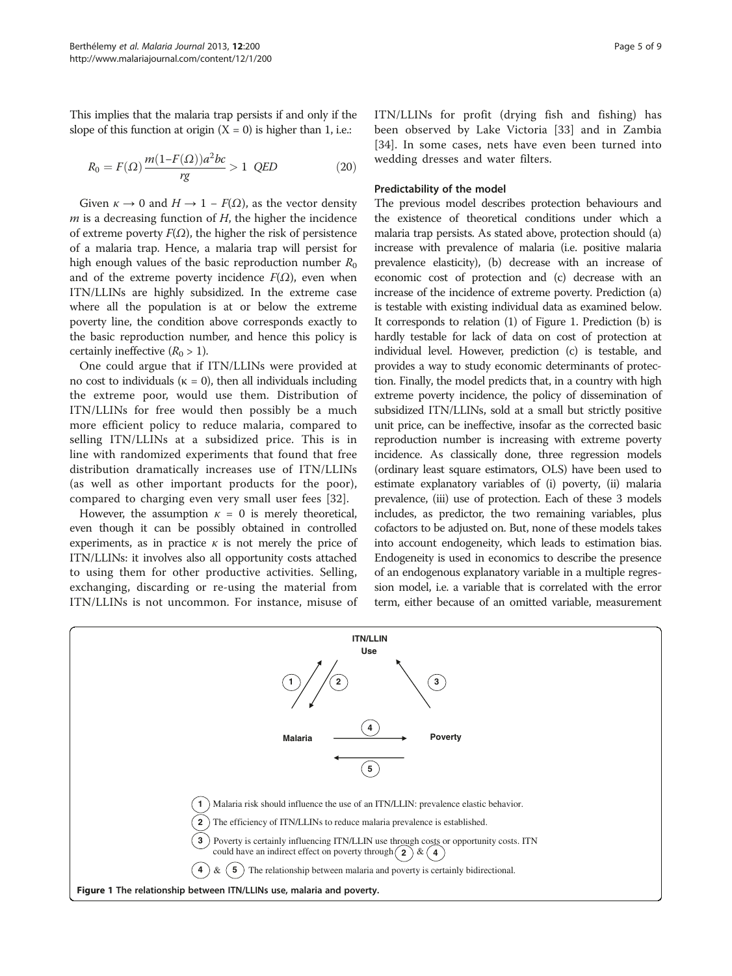<span id="page-4-0"></span>This implies that the malaria trap persists if and only if the slope of this function at origin  $(X = 0)$  is higher than 1, i.e.:

$$
R_0 = F(\Omega) \frac{m(1 - F(\Omega))a^2bc}{rg} > 1 \quad QED \tag{20}
$$

Given  $\kappa \to 0$  and  $H \to 1 - F(\Omega)$ , as the vector density  $m$  is a decreasing function of  $H$ , the higher the incidence of extreme poverty  $F(\Omega)$ , the higher the risk of persistence of a malaria trap. Hence, a malaria trap will persist for high enough values of the basic reproduction number  $R_0$ and of the extreme poverty incidence  $F(\Omega)$ , even when ITN/LLINs are highly subsidized. In the extreme case where all the population is at or below the extreme poverty line, the condition above corresponds exactly to the basic reproduction number, and hence this policy is certainly ineffective  $(R_0 > 1)$ .

One could argue that if ITN/LLINs were provided at no cost to individuals ( $\kappa = 0$ ), then all individuals including the extreme poor, would use them. Distribution of ITN/LLINs for free would then possibly be a much more efficient policy to reduce malaria, compared to selling ITN/LLINs at a subsidized price. This is in line with randomized experiments that found that free distribution dramatically increases use of ITN/LLINs (as well as other important products for the poor), compared to charging even very small user fees [[32\]](#page-8-0).

However, the assumption  $\kappa = 0$  is merely theoretical, even though it can be possibly obtained in controlled experiments, as in practice  $\kappa$  is not merely the price of ITN/LLINs: it involves also all opportunity costs attached to using them for other productive activities. Selling, exchanging, discarding or re-using the material from ITN/LLINs is not uncommon. For instance, misuse of ITN/LLINs for profit (drying fish and fishing) has been observed by Lake Victoria [\[33](#page-8-0)] and in Zambia [[34\]](#page-8-0). In some cases, nets have even been turned into wedding dresses and water filters.

#### Predictability of the model

The previous model describes protection behaviours and the existence of theoretical conditions under which a malaria trap persists. As stated above, protection should (a) increase with prevalence of malaria (i.e. positive malaria prevalence elasticity), (b) decrease with an increase of economic cost of protection and (c) decrease with an increase of the incidence of extreme poverty. Prediction (a) is testable with existing individual data as examined below. It corresponds to relation [\(1](#page-1-0)) of Figure 1. Prediction (b) is hardly testable for lack of data on cost of protection at individual level. However, prediction (c) is testable, and provides a way to study economic determinants of protection. Finally, the model predicts that, in a country with high extreme poverty incidence, the policy of dissemination of subsidized ITN/LLINs, sold at a small but strictly positive unit price, can be ineffective, insofar as the corrected basic reproduction number is increasing with extreme poverty incidence. As classically done, three regression models (ordinary least square estimators, OLS) have been used to estimate explanatory variables of (i) poverty, (ii) malaria prevalence, (iii) use of protection. Each of these 3 models includes, as predictor, the two remaining variables, plus cofactors to be adjusted on. But, none of these models takes into account endogeneity, which leads to estimation bias. Endogeneity is used in economics to describe the presence of an endogenous explanatory variable in a multiple regression model, i.e. a variable that is correlated with the error term, either because of an omitted variable, measurement

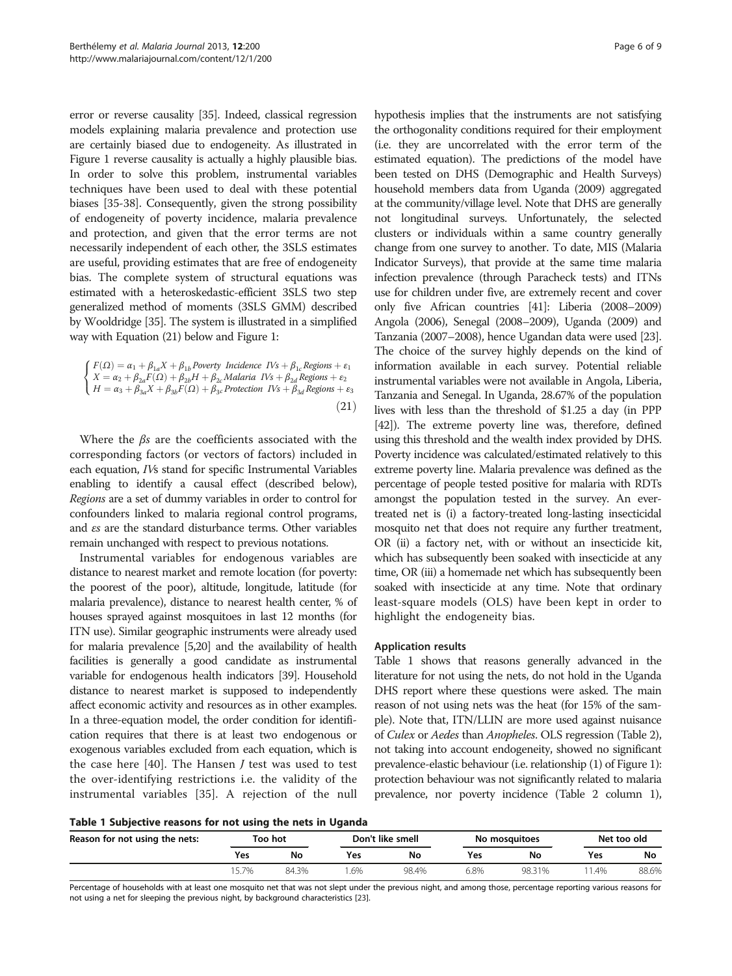error or reverse causality [[35](#page-8-0)]. Indeed, classical regression models explaining malaria prevalence and protection use are certainly biased due to endogeneity. As illustrated in Figure [1](#page-4-0) reverse causality is actually a highly plausible bias. In order to solve this problem, instrumental variables techniques have been used to deal with these potential biases [\[35-38](#page-8-0)]. Consequently, given the strong possibility of endogeneity of poverty incidence, malaria prevalence and protection, and given that the error terms are not necessarily independent of each other, the 3SLS estimates are useful, providing estimates that are free of endogeneity bias. The complete system of structural equations was estimated with a heteroskedastic-efficient 3SLS two step generalized method of moments (3SLS GMM) described by Wooldridge [[35](#page-8-0)]. The system is illustrated in a simplified way with Equation (21) below and Figure [1:](#page-4-0)

$$
\begin{cases}\nF(\Omega) = \alpha_1 + \beta_{1a}X + \beta_{1b} \text{Powerty } \text{Incidence } I \text{Vs} + \beta_{1c} \text{ Regions} + \varepsilon_1 \\
X = \alpha_2 + \beta_{2a}F(\Omega) + \beta_{2b}H + \beta_{2c} \text{Malaria } I \text{Vs} + \beta_{2d} \text{ Regions} + \varepsilon_2 \\
H = \alpha_3 + \beta_{3a}X + \beta_{3b}F(\Omega) + \beta_{3c} \text{Protection } I \text{Vs} + \beta_{3d} \text{ Regions} + \varepsilon_3\n\end{cases}
$$
\n(21)

Where the  $\beta s$  are the coefficients associated with the corresponding factors (or vectors of factors) included in each equation, IVs stand for specific Instrumental Variables enabling to identify a causal effect (described below), Regions are a set of dummy variables in order to control for confounders linked to malaria regional control programs, and εs are the standard disturbance terms. Other variables remain unchanged with respect to previous notations.

Instrumental variables for endogenous variables are distance to nearest market and remote location (for poverty: the poorest of the poor), altitude, longitude, latitude (for malaria prevalence), distance to nearest health center, % of houses sprayed against mosquitoes in last 12 months (for ITN use). Similar geographic instruments were already used for malaria prevalence [[5,20\]](#page-8-0) and the availability of health facilities is generally a good candidate as instrumental variable for endogenous health indicators [[39\]](#page-8-0). Household distance to nearest market is supposed to independently affect economic activity and resources as in other examples. In a three-equation model, the order condition for identification requires that there is at least two endogenous or exogenous variables excluded from each equation, which is the case here  $[40]$  $[40]$ . The Hansen *J* test was used to test the over-identifying restrictions i.e. the validity of the instrumental variables [[35](#page-8-0)]. A rejection of the null

hypothesis implies that the instruments are not satisfying the orthogonality conditions required for their employment (i.e. they are uncorrelated with the error term of the estimated equation). The predictions of the model have been tested on DHS (Demographic and Health Surveys) household members data from Uganda (2009) aggregated at the community/village level. Note that DHS are generally not longitudinal surveys. Unfortunately, the selected clusters or individuals within a same country generally change from one survey to another. To date, MIS (Malaria Indicator Surveys), that provide at the same time malaria infection prevalence (through Paracheck tests) and ITNs use for children under five, are extremely recent and cover only five African countries [\[41](#page-8-0)]: Liberia (2008–2009) Angola (2006), Senegal (2008–2009), Uganda (2009) and Tanzania (2007–2008), hence Ugandan data were used [\[23](#page-8-0)]. The choice of the survey highly depends on the kind of information available in each survey. Potential reliable instrumental variables were not available in Angola, Liberia, Tanzania and Senegal. In Uganda, 28.67% of the population lives with less than the threshold of \$1.25 a day (in PPP [[42](#page-8-0)]). The extreme poverty line was, therefore, defined using this threshold and the wealth index provided by DHS. Poverty incidence was calculated/estimated relatively to this extreme poverty line. Malaria prevalence was defined as the percentage of people tested positive for malaria with RDTs amongst the population tested in the survey. An evertreated net is (i) a factory-treated long-lasting insecticidal mosquito net that does not require any further treatment, OR (ii) a factory net, with or without an insecticide kit, which has subsequently been soaked with insecticide at any time, OR (iii) a homemade net which has subsequently been soaked with insecticide at any time. Note that ordinary least-square models (OLS) have been kept in order to highlight the endogeneity bias.

#### Application results

Table 1 shows that reasons generally advanced in the literature for not using the nets, do not hold in the Uganda DHS report where these questions were asked. The main reason of not using nets was the heat (for 15% of the sample). Note that, ITN/LLIN are more used against nuisance of Culex or Aedes than Anopheles. OLS regression (Table [2](#page-6-0)), not taking into account endogeneity, showed no significant prevalence-elastic behaviour (i.e. relationship ([1](#page-1-0)) of Figure [1](#page-4-0)): protection behaviour was not significantly related to malaria prevalence, nor poverty incidence (Table [2](#page-6-0) column 1),

Table 1 Subjective reasons for not using the nets in Uganda

|                                |         | ____  | ______           |       |               |        |             |       |
|--------------------------------|---------|-------|------------------|-------|---------------|--------|-------------|-------|
| Reason for not using the nets: | Too hot |       | Don't like smell |       | No mosauitoes |        | Net too old |       |
|                                | Yes     | No    | Yes              | No    | Yes           | No     | Yes         | No    |
|                                | 5.7%    | 84.3% | .6%              | 98.4% | 6.8%          | 98.31% | .4%         | 88.6% |

Percentage of households with at least one mosquito net that was not slept under the previous night, and among those, percentage reporting various reasons for not using a net for sleeping the previous night, by background characteristics [[23](#page-8-0)].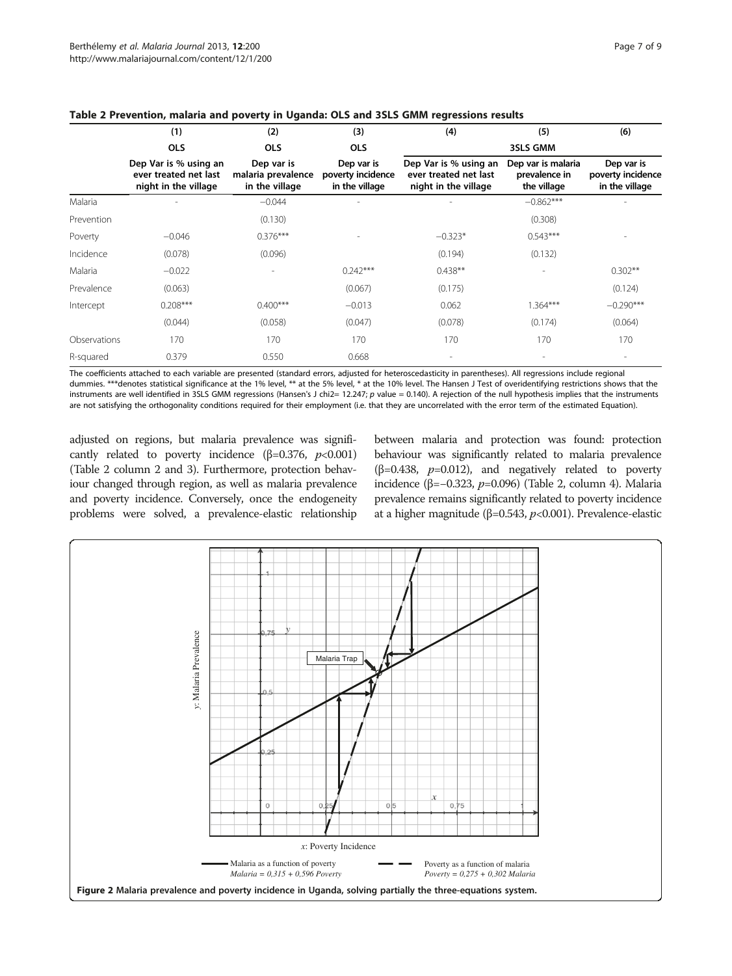|              | (1)                                                                    | (2)                                                | (3)                                               | (4)                                                                    | (5)                                                | (6)                                               |  |
|--------------|------------------------------------------------------------------------|----------------------------------------------------|---------------------------------------------------|------------------------------------------------------------------------|----------------------------------------------------|---------------------------------------------------|--|
|              | <b>OLS</b>                                                             | <b>OLS</b>                                         | <b>OLS</b>                                        | <b>3SLS GMM</b>                                                        |                                                    |                                                   |  |
|              | Dep Var is % using an<br>ever treated net last<br>night in the village | Dep var is<br>malaria prevalence<br>in the village | Dep var is<br>poverty incidence<br>in the village | Dep Var is % using an<br>ever treated net last<br>night in the village | Dep var is malaria<br>prevalence in<br>the village | Dep var is<br>poverty incidence<br>in the village |  |
| Malaria      |                                                                        | $-0.044$                                           |                                                   |                                                                        | $-0.862***$                                        |                                                   |  |
| Prevention   |                                                                        | (0.130)                                            |                                                   |                                                                        | (0.308)                                            |                                                   |  |
| Poverty      | $-0.046$                                                               | $0.376***$                                         |                                                   | $-0.323*$                                                              | $0.543***$                                         |                                                   |  |
| Incidence    | (0.078)                                                                | (0.096)                                            |                                                   | (0.194)                                                                | (0.132)                                            |                                                   |  |
| Malaria      | $-0.022$                                                               | $\overline{\phantom{a}}$                           | $0.242***$                                        | $0.438**$                                                              | $\overline{\phantom{a}}$                           | $0.302**$                                         |  |
| Prevalence   | (0.063)                                                                |                                                    | (0.067)                                           | (0.175)                                                                |                                                    | (0.124)                                           |  |
| Intercept    | $0.208***$                                                             | $0.400***$                                         | $-0.013$                                          | 0.062                                                                  | $1.364***$                                         | $-0.290***$                                       |  |
|              | (0.044)                                                                | (0.058)                                            | (0.047)                                           | (0.078)                                                                | (0.174)                                            | (0.064)                                           |  |
| Observations | 170                                                                    | 170                                                | 170                                               | 170                                                                    | 170                                                | 170                                               |  |

## <span id="page-6-0"></span>Table 2 Prevention, malaria and poverty in Uganda: OLS and 3SLS GMM regressions results

The coefficients attached to each variable are presented (standard errors, adjusted for heteroscedasticity in parentheses). All regressions include regional dummies. \*\*\*denotes statistical significance at the 1% level, \*\* at the 5% level, \* at the 10% level. The Hansen J Test of overidentifying restrictions shows that the instruments are well identified in 3SLS GMM regressions (Hansen's J chi2= 12.247; p value = 0.140). A rejection of the null hypothesis implies that the instruments are not satisfying the orthogonality conditions required for their employment (i.e. that they are uncorrelated with the error term of the estimated Equation).

R-squared 0.379 0.550 0.668 - - -

adjusted on regions, but malaria prevalence was significantly related to poverty incidence  $(\beta=0.376, p<0.001)$ (Table 2 column 2 and 3). Furthermore, protection behaviour changed through region, as well as malaria prevalence and poverty incidence. Conversely, once the endogeneity problems were solved, a prevalence-elastic relationship between malaria and protection was found: protection behaviour was significantly related to malaria prevalence ( $\beta$ =0.438,  $p$ =0.012), and negatively related to poverty incidence (β=−0.323, p=0.096) (Table 2, column 4). Malaria prevalence remains significantly related to poverty incidence at a higher magnitude ( $\beta$ =0.543, *p*<0.001). Prevalence-elastic

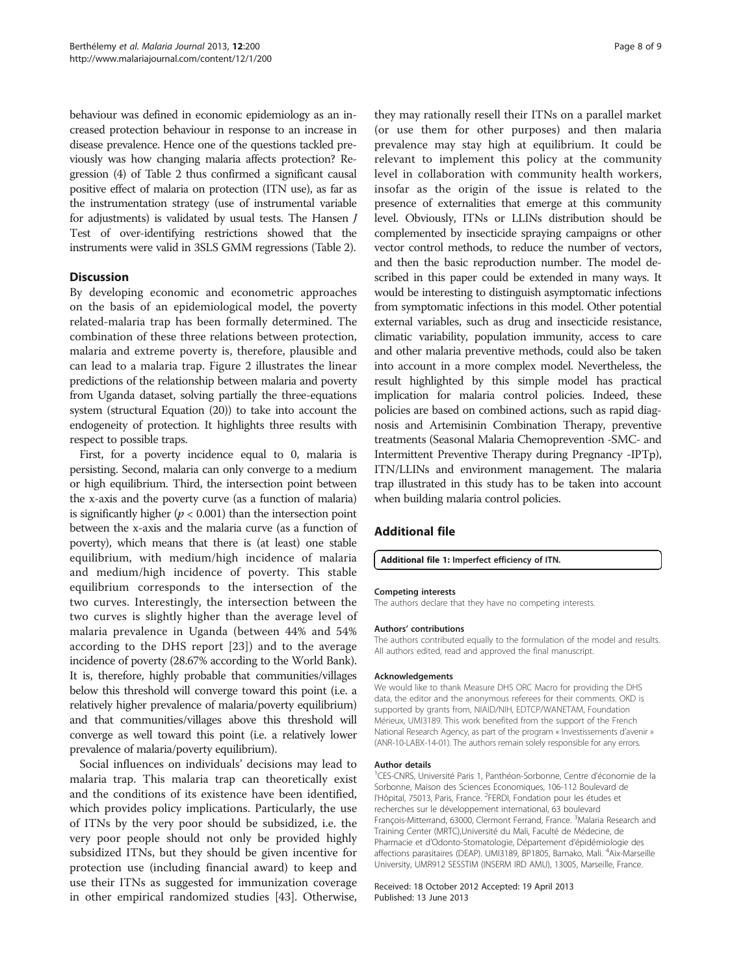<span id="page-7-0"></span>behaviour was defined in economic epidemiology as an increased protection behaviour in response to an increase in disease prevalence. Hence one of the questions tackled previously was how changing malaria affects protection? Regression [\(4\)](#page-1-0) of Table [2](#page-6-0) thus confirmed a significant causal positive effect of malaria on protection (ITN use), as far as the instrumentation strategy (use of instrumental variable for adjustments) is validated by usual tests. The Hansen J Test of over-identifying restrictions showed that the instruments were valid in 3SLS GMM regressions (Table [2\)](#page-6-0).

## **Discussion**

By developing economic and econometric approaches on the basis of an epidemiological model, the poverty related-malaria trap has been formally determined. The combination of these three relations between protection, malaria and extreme poverty is, therefore, plausible and can lead to a malaria trap. Figure [2](#page-6-0) illustrates the linear predictions of the relationship between malaria and poverty from Uganda dataset, solving partially the three-equations system (structural Equation [\(20\)](#page-4-0)) to take into account the endogeneity of protection. It highlights three results with respect to possible traps.

First, for a poverty incidence equal to 0, malaria is persisting. Second, malaria can only converge to a medium or high equilibrium. Third, the intersection point between the x-axis and the poverty curve (as a function of malaria) is significantly higher ( $p < 0.001$ ) than the intersection point between the x-axis and the malaria curve (as a function of poverty), which means that there is (at least) one stable equilibrium, with medium/high incidence of malaria and medium/high incidence of poverty. This stable equilibrium corresponds to the intersection of the two curves. Interestingly, the intersection between the two curves is slightly higher than the average level of malaria prevalence in Uganda (between 44% and 54% according to the DHS report [\[23](#page-8-0)]) and to the average incidence of poverty (28.67% according to the World Bank). It is, therefore, highly probable that communities/villages below this threshold will converge toward this point (i.e. a relatively higher prevalence of malaria/poverty equilibrium) and that communities/villages above this threshold will converge as well toward this point (i.e. a relatively lower prevalence of malaria/poverty equilibrium).

Social influences on individuals' decisions may lead to malaria trap. This malaria trap can theoretically exist and the conditions of its existence have been identified, which provides policy implications. Particularly, the use of ITNs by the very poor should be subsidized, i.e. the very poor people should not only be provided highly subsidized ITNs, but they should be given incentive for protection use (including financial award) to keep and use their ITNs as suggested for immunization coverage in other empirical randomized studies [[43\]](#page-8-0). Otherwise, they may rationally resell their ITNs on a parallel market (or use them for other purposes) and then malaria prevalence may stay high at equilibrium. It could be relevant to implement this policy at the community level in collaboration with community health workers, insofar as the origin of the issue is related to the presence of externalities that emerge at this community level. Obviously, ITNs or LLINs distribution should be complemented by insecticide spraying campaigns or other vector control methods, to reduce the number of vectors, and then the basic reproduction number. The model described in this paper could be extended in many ways. It would be interesting to distinguish asymptomatic infections from symptomatic infections in this model. Other potential external variables, such as drug and insecticide resistance, climatic variability, population immunity, access to care and other malaria preventive methods, could also be taken into account in a more complex model. Nevertheless, the result highlighted by this simple model has practical implication for malaria control policies. Indeed, these policies are based on combined actions, such as rapid diagnosis and Artemisinin Combination Therapy, preventive treatments (Seasonal Malaria Chemoprevention -SMC- and Intermittent Preventive Therapy during Pregnancy -IPTp), ITN/LLINs and environment management. The malaria trap illustrated in this study has to be taken into account when building malaria control policies.

## Additional file

#### [Additional file 1:](http://www.biomedcentral.com/content/supplementary/1475-2875-12-200-S1.pdf) Imperfect efficiency of ITN.

#### Competing interests

The authors declare that they have no competing interests.

#### Authors' contributions

The authors contributed equally to the formulation of the model and results. All authors edited, read and approved the final manuscript.

#### Acknowledgements

We would like to thank Measure DHS ORC Macro for providing the DHS data, the editor and the anonymous referees for their comments. OKD is supported by grants from, NIAID/NIH, EDTCP/WANETAM, Foundation Mérieux, UMI3189. This work benefited from the support of the French National Research Agency, as part of the program « Investissements d'avenir » (ANR-10-LABX-14-01). The authors remain solely responsible for any errors.

#### Author details

<sup>1</sup>CES-CNRS, Université Paris 1, Panthéon-Sorbonne, Centre d'économie de la Sorbonne, Maison des Sciences Economiques, 106-112 Boulevard de l'Hôpital, 75013, Paris, France. <sup>2</sup>FERDI, Fondation pour les études et recherches sur le développement international, 63 boulevard François-Mitterrand, 63000, Clermont Ferrand, France. <sup>3</sup>Malaria Research and Training Center (MRTC),Université du Mali, Faculté de Médecine, de Pharmacie et d'Odonto-Stomatologie, Département d'épidémiologie des affections parasitaires (DEAP). UMI3189, BP1805, Bamako, Mali. <sup>4</sup>Aix-Marseille University, UMR912 SESSTIM (INSERM IRD AMU), 13005, Marseille, France.

#### Received: 18 October 2012 Accepted: 19 April 2013 Published: 13 June 2013